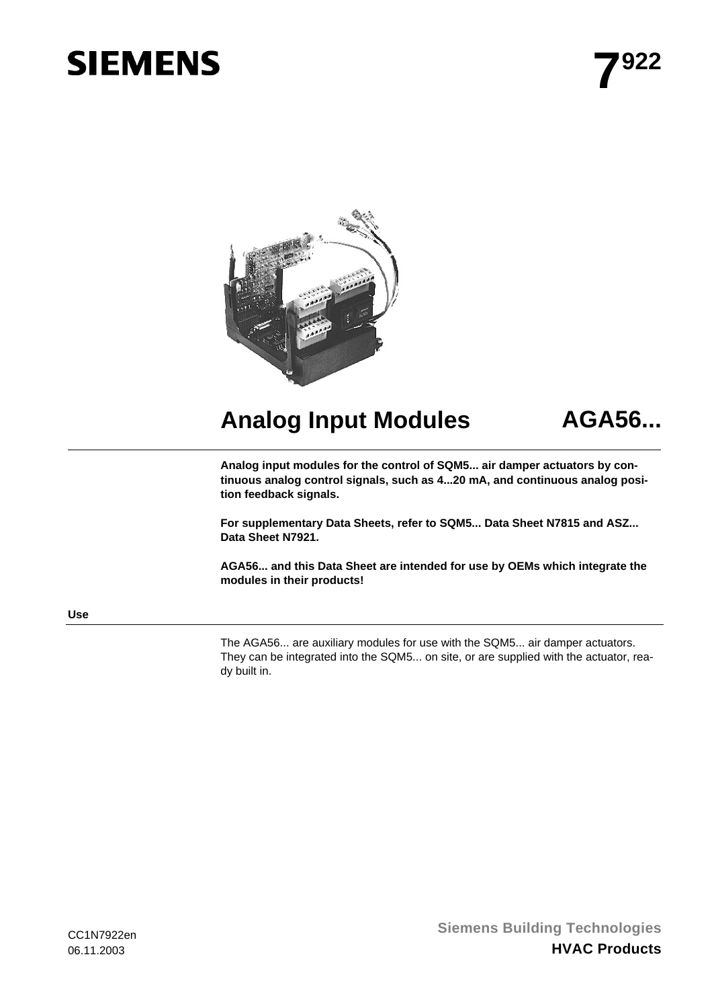# **SIEMENS**



# **Analog Input Modules AGA56...**

**Analog input modules for the control of SQM5... air damper actuators by continuous analog control signals, such as 4...20 mA, and continuous analog position feedback signals.** 

**For supplementary Data Sheets, refer to SQM5... Data Sheet N7815 and ASZ... Data Sheet N7921.** 

**AGA56... and this Data Sheet are intended for use by OEMs which integrate the modules in their products!** 

#### **Use**

The AGA56... are auxiliary modules for use with the SQM5... air damper actuators. They can be integrated into the SQM5... on site, or are supplied with the actuator, ready built in.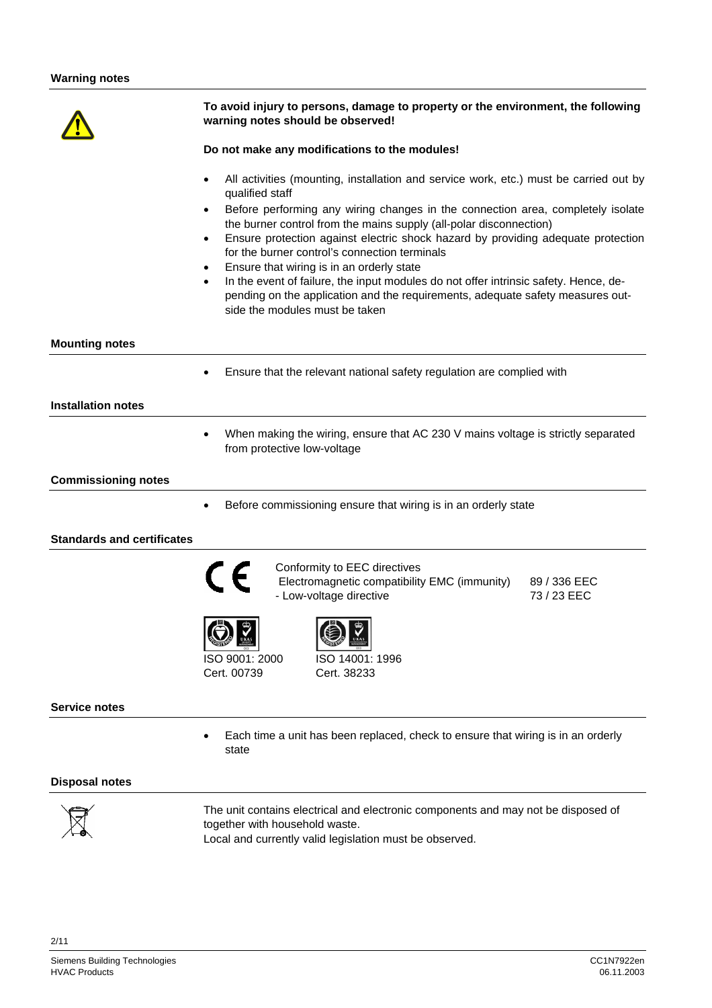|                                   | To avoid injury to persons, damage to property or the environment, the following                                                                                                                                                                                                                                                                                                                                                                                                                                                                                                                                                                                             |  |  |  |
|-----------------------------------|------------------------------------------------------------------------------------------------------------------------------------------------------------------------------------------------------------------------------------------------------------------------------------------------------------------------------------------------------------------------------------------------------------------------------------------------------------------------------------------------------------------------------------------------------------------------------------------------------------------------------------------------------------------------------|--|--|--|
|                                   | warning notes should be observed!                                                                                                                                                                                                                                                                                                                                                                                                                                                                                                                                                                                                                                            |  |  |  |
|                                   | Do not make any modifications to the modules!                                                                                                                                                                                                                                                                                                                                                                                                                                                                                                                                                                                                                                |  |  |  |
|                                   | All activities (mounting, installation and service work, etc.) must be carried out by<br>qualified staff<br>Before performing any wiring changes in the connection area, completely isolate<br>the burner control from the mains supply (all-polar disconnection)<br>Ensure protection against electric shock hazard by providing adequate protection<br>for the burner control's connection terminals<br>Ensure that wiring is in an orderly state<br>In the event of failure, the input modules do not offer intrinsic safety. Hence, de-<br>$\bullet$<br>pending on the application and the requirements, adequate safety measures out-<br>side the modules must be taken |  |  |  |
| <b>Mounting notes</b>             |                                                                                                                                                                                                                                                                                                                                                                                                                                                                                                                                                                                                                                                                              |  |  |  |
|                                   | Ensure that the relevant national safety regulation are complied with                                                                                                                                                                                                                                                                                                                                                                                                                                                                                                                                                                                                        |  |  |  |
| <b>Installation notes</b>         |                                                                                                                                                                                                                                                                                                                                                                                                                                                                                                                                                                                                                                                                              |  |  |  |
|                                   | When making the wiring, ensure that AC 230 V mains voltage is strictly separated<br>from protective low-voltage                                                                                                                                                                                                                                                                                                                                                                                                                                                                                                                                                              |  |  |  |
| <b>Commissioning notes</b>        |                                                                                                                                                                                                                                                                                                                                                                                                                                                                                                                                                                                                                                                                              |  |  |  |
|                                   | Before commissioning ensure that wiring is in an orderly state                                                                                                                                                                                                                                                                                                                                                                                                                                                                                                                                                                                                               |  |  |  |
| <b>Standards and certificates</b> |                                                                                                                                                                                                                                                                                                                                                                                                                                                                                                                                                                                                                                                                              |  |  |  |
|                                   | Conformity to EEC directives<br>Electromagnetic compatibility EMC (immunity)<br>89 / 336 EEC<br>- Low-voltage directive<br>73 / 23 EEC                                                                                                                                                                                                                                                                                                                                                                                                                                                                                                                                       |  |  |  |
|                                   | $\mathbb{E}$ and $\mathbb{E}$ and $\mathbb{E}$ and $\mathbb{E}$ and $\mathbb{E}$ and $\mathbb{E}$ and $\mathbb{E}$ and $\mathbb{E}$ and $\mathbb{E}$ and $\mathbb{E}$ and $\mathbb{E}$ and $\mathbb{E}$ and $\mathbb{E}$ and $\mathbb{E}$ and $\mathbb{E}$ and $\mathbb{E}$ and $\mathbb{E}$ and<br>ISO 9001: 2000<br>ISO 14001: 1996<br>Cert. 00739<br>Cert. 38233                                                                                                                                                                                                                                                                                                          |  |  |  |
| <b>Service notes</b>              |                                                                                                                                                                                                                                                                                                                                                                                                                                                                                                                                                                                                                                                                              |  |  |  |
|                                   | Each time a unit has been replaced, check to ensure that wiring is in an orderly<br>state                                                                                                                                                                                                                                                                                                                                                                                                                                                                                                                                                                                    |  |  |  |
| <b>Disposal notes</b>             |                                                                                                                                                                                                                                                                                                                                                                                                                                                                                                                                                                                                                                                                              |  |  |  |
|                                   | The unit contains electrical and electronic components and may not be disposed of                                                                                                                                                                                                                                                                                                                                                                                                                                                                                                                                                                                            |  |  |  |



The unit contains electrical and electronic components and may not be disposed of together with household waste. Local and currently valid legislation must be observed.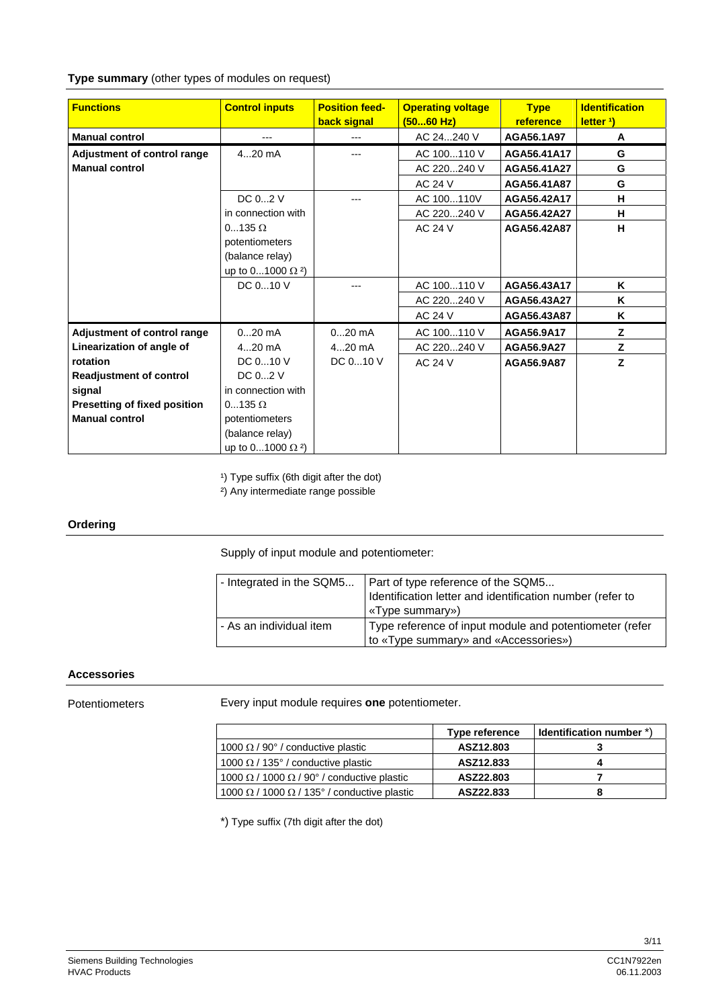#### **Type summary** (other types of modules on request)

| <b>Functions</b>                    | <b>Control inputs</b>               | <b>Position feed-</b> | <b>Operating voltage</b> | <b>Type</b> | <b>Identification</b> |
|-------------------------------------|-------------------------------------|-----------------------|--------------------------|-------------|-----------------------|
|                                     |                                     | back signal           | (5060 Hz)                | reference   | letter <sup>1</sup> ) |
| <b>Manual control</b>               | $---$                               |                       | AC 24240 V               | AGA56.1A97  | Α                     |
| Adjustment of control range         | $420$ mA                            |                       | AC 100110 V              | AGA56.41A17 | G                     |
| <b>Manual control</b>               |                                     |                       | AC 220240 V              | AGA56.41A27 | G                     |
|                                     |                                     |                       | AC 24 V                  | AGA56.41A87 | G                     |
|                                     | DC 02 V                             |                       | AC 100110V               | AGA56.42A17 | н                     |
|                                     | in connection with                  |                       | AC 220240 V              | AGA56.42A27 | н                     |
|                                     | $0135 \Omega$                       |                       | <b>AC 24 V</b>           | AGA56.42A87 | н                     |
|                                     | potentiometers                      |                       |                          |             |                       |
|                                     | (balance relay)                     |                       |                          |             |                       |
|                                     | up to 01000 $\Omega$ <sup>2</sup> ) |                       |                          |             |                       |
|                                     | DC 010 V                            |                       | AC 100110 V              | AGA56.43A17 | Κ                     |
|                                     |                                     |                       | AC 220240 V              | AGA56.43A27 | Κ                     |
|                                     |                                     |                       | AC 24 V                  | AGA56.43A87 | Κ                     |
| Adjustment of control range         | $020$ mA                            | $020$ mA              | AC 100110 V              | AGA56.9A17  | z                     |
| Linearization of angle of           | $420$ mA                            | $420$ mA              | AC 220240 V              | AGA56.9A27  | Z                     |
| rotation                            | DC 010 V                            | DC $010V$             | <b>AC 24 V</b>           | AGA56.9A87  | Z                     |
| <b>Readjustment of control</b>      | DC 02 V                             |                       |                          |             |                       |
| signal                              | in connection with                  |                       |                          |             |                       |
| <b>Presetting of fixed position</b> | $0135 \Omega$                       |                       |                          |             |                       |
| <b>Manual control</b>               | potentiometers                      |                       |                          |             |                       |
|                                     | (balance relay)                     |                       |                          |             |                       |
|                                     | up to 01000 $\Omega$ <sup>2</sup> ) |                       |                          |             |                       |

<sup>1</sup>) Type suffix (6th digit after the dot)

²) Any intermediate range possible

#### **Ordering**

Supply of input module and potentiometer:

| - Integrated in the SQM5 | Part of type reference of the SQM5<br>Identification letter and identification number (refer to<br>«Type summary») |
|--------------------------|--------------------------------------------------------------------------------------------------------------------|
| - As an individual item  | Type reference of input module and potentiometer (refer<br>to «Type summary» and «Accessories»)                    |

#### **Accessories**

Potentiometers

Every input module requires **one** potentiometer.

|                                                           | <b>Type reference</b> | I Identification number *) |
|-----------------------------------------------------------|-----------------------|----------------------------|
| 1000 $\Omega$ / 90 $^{\circ}$ / conductive plastic        | ASZ12.803             |                            |
| 1000 $\Omega$ / 135° / conductive plastic                 | ASZ12.833             |                            |
| 1000 $\Omega$ / 1000 $\Omega$ / 90° / conductive plastic  | ASZ22.803             |                            |
| 1000 $\Omega$ / 1000 $\Omega$ / 135° / conductive plastic | ASZ22.833             |                            |

\*) Type suffix (7th digit after the dot)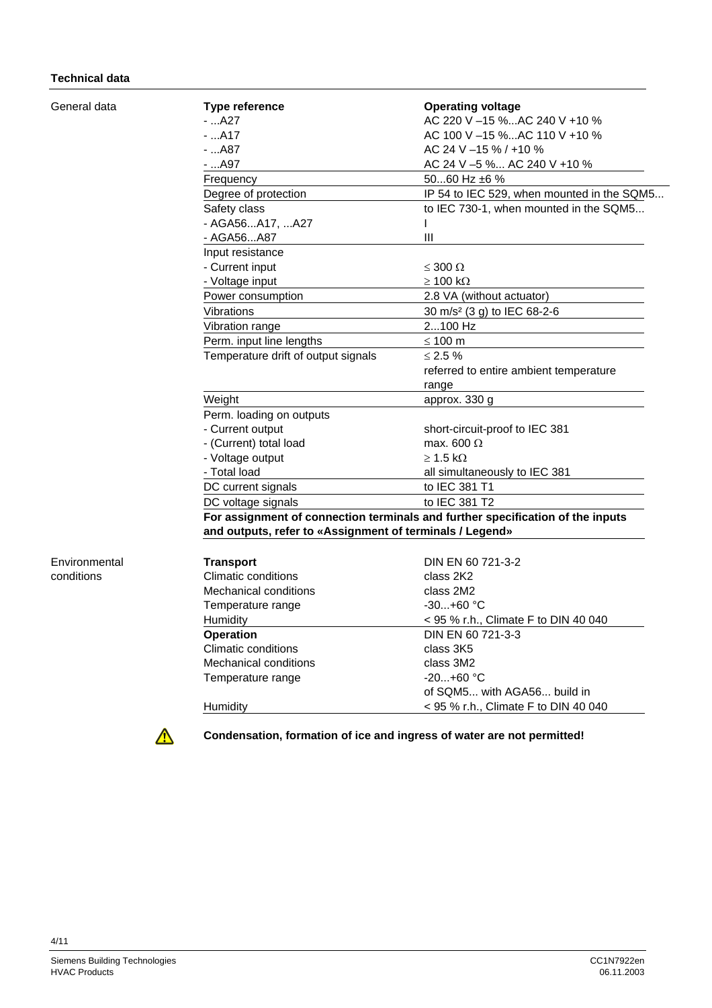#### **Technical data**

General data

Environmental conditions

| <b>Type reference</b><br>- …A27                          | <b>Operating voltage</b><br>AC 220 V -15 %AC 240 V +10 %                       |  |  |
|----------------------------------------------------------|--------------------------------------------------------------------------------|--|--|
| $-.A17$                                                  | AC 100 V -15 %AC 110 V +10 %                                                   |  |  |
|                                                          |                                                                                |  |  |
| - …A87                                                   | AC 24 V -15 % / +10 %                                                          |  |  |
| - …A97                                                   | AC 24 V -5 % AC 240 V +10 %                                                    |  |  |
| Frequency                                                | 5060 Hz ±6 %                                                                   |  |  |
| Degree of protection                                     | IP 54 to IEC 529, when mounted in the SQM5                                     |  |  |
| Safety class                                             | to IEC 730-1, when mounted in the SQM5                                         |  |  |
| - AGA56A17, A27                                          | L                                                                              |  |  |
| - AGA56A87                                               | Ш                                                                              |  |  |
| Input resistance                                         |                                                                                |  |  |
| - Current input                                          | $\leq 300 \Omega$                                                              |  |  |
| - Voltage input                                          | $\geq 100$ k $\Omega$                                                          |  |  |
| Power consumption                                        | 2.8 VA (without actuator)                                                      |  |  |
| Vibrations                                               | 30 m/s <sup>2</sup> (3 g) to IEC 68-2-6                                        |  |  |
| Vibration range                                          | 2100 Hz                                                                        |  |  |
| Perm. input line lengths                                 | $\leq 100$ m                                                                   |  |  |
| Temperature drift of output signals                      | $≤$ 2.5 $%$                                                                    |  |  |
|                                                          | referred to entire ambient temperature                                         |  |  |
|                                                          | range                                                                          |  |  |
| Weight                                                   | approx. 330 g                                                                  |  |  |
| Perm. loading on outputs                                 |                                                                                |  |  |
| - Current output                                         | short-circuit-proof to IEC 381                                                 |  |  |
| - (Current) total load                                   | max. 600 $\Omega$                                                              |  |  |
| - Voltage output                                         | $\geq$ 1.5 k $\Omega$                                                          |  |  |
| - Total load                                             | all simultaneously to IEC 381                                                  |  |  |
| DC current signals                                       | to IEC 381 T1                                                                  |  |  |
| DC voltage signals                                       | to IEC 381 T2                                                                  |  |  |
|                                                          | For assignment of connection terminals and further specification of the inputs |  |  |
| and outputs, refer to «Assignment of terminals / Legend» |                                                                                |  |  |
|                                                          |                                                                                |  |  |
| <b>Transport</b>                                         | DIN EN 60 721-3-2                                                              |  |  |
| Climatic conditions                                      | class 2K2                                                                      |  |  |
| <b>Mechanical conditions</b>                             | class 2M2                                                                      |  |  |
| Temperature range                                        | $-30+60$ °C                                                                    |  |  |
|                                                          |                                                                                |  |  |
| Humidity<br><b>Operation</b>                             | < 95 % r.h., Climate F to DIN 40 040<br>DIN EN 60 721-3-3                      |  |  |
| <b>Climatic conditions</b>                               |                                                                                |  |  |
|                                                          | class 3K5                                                                      |  |  |
| Mechanical conditions                                    | class 3M2                                                                      |  |  |
| Temperature range                                        | $-20+60$ °C                                                                    |  |  |
|                                                          | of SQM5 with AGA56 build in                                                    |  |  |



**Condensation, formation of ice and ingress of water are not permitted!** 

Humidity  $-95 %$  r.h., Climate F to DIN 40 040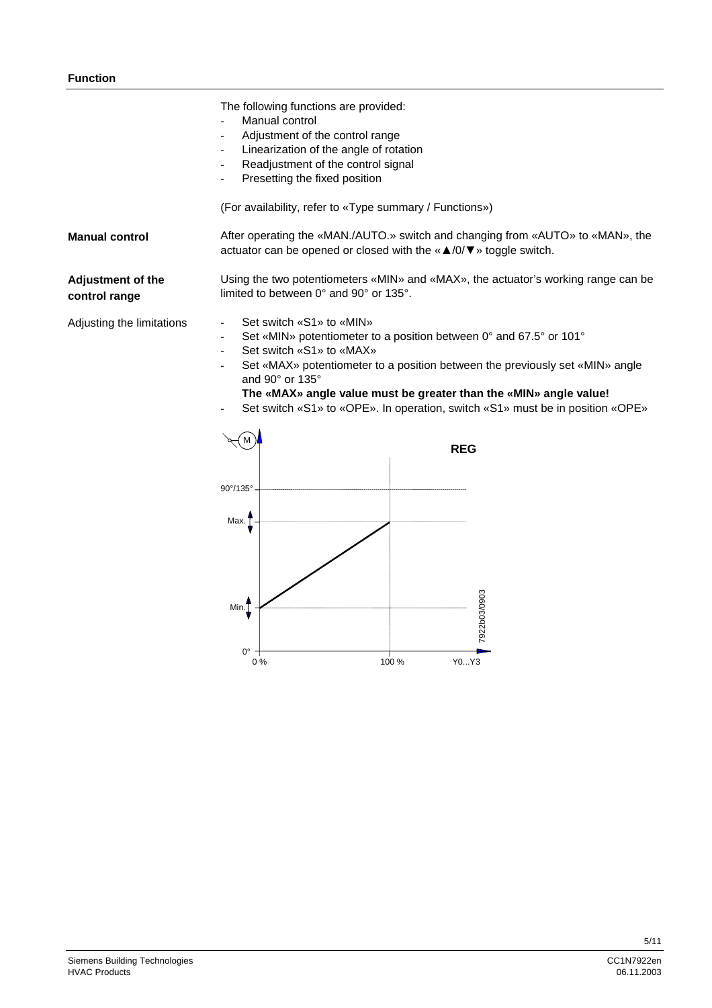|                                           | The following functions are provided:<br>Manual control<br>Adjustment of the control range<br>Linearization of the angle of rotation<br>Readjustment of the control signal<br>Presetting the fixed position<br>(For availability, refer to «Type summary / Functions»)                                                                                                                                                                |  |
|-------------------------------------------|---------------------------------------------------------------------------------------------------------------------------------------------------------------------------------------------------------------------------------------------------------------------------------------------------------------------------------------------------------------------------------------------------------------------------------------|--|
| <b>Manual control</b>                     | After operating the «MAN./AUTO.» switch and changing from «AUTO» to «MAN», the<br>actuator can be opened or closed with the $\alpha \triangle /0/\nabla$ » toggle switch.                                                                                                                                                                                                                                                             |  |
| <b>Adjustment of the</b><br>control range | Using the two potentiometers «MIN» and «MAX», the actuator's working range can be<br>limited to between 0° and 90° or 135°.                                                                                                                                                                                                                                                                                                           |  |
| Adjusting the limitations                 | Set switch «S1» to «MIN»<br>Set «MIN» potentiometer to a position between 0° and 67.5° or 101°<br>Set switch «S1» to «MAX»<br>Set «MAX» potentiometer to a position between the previously set «MIN» angle<br>and 90° or 135°<br>The «MAX» angle value must be greater than the «MIN» angle value!<br>Set switch «S1» to «OPE». In operation, switch «S1» must be in position «OPE»<br><b>REG</b><br>$90^{\circ}/135^{\circ}$<br>Max. |  |

100 % Y0...Y3

7922b03/0903

7922b03/0903

 $0^\circ + 0^\circ$ 

 $Min$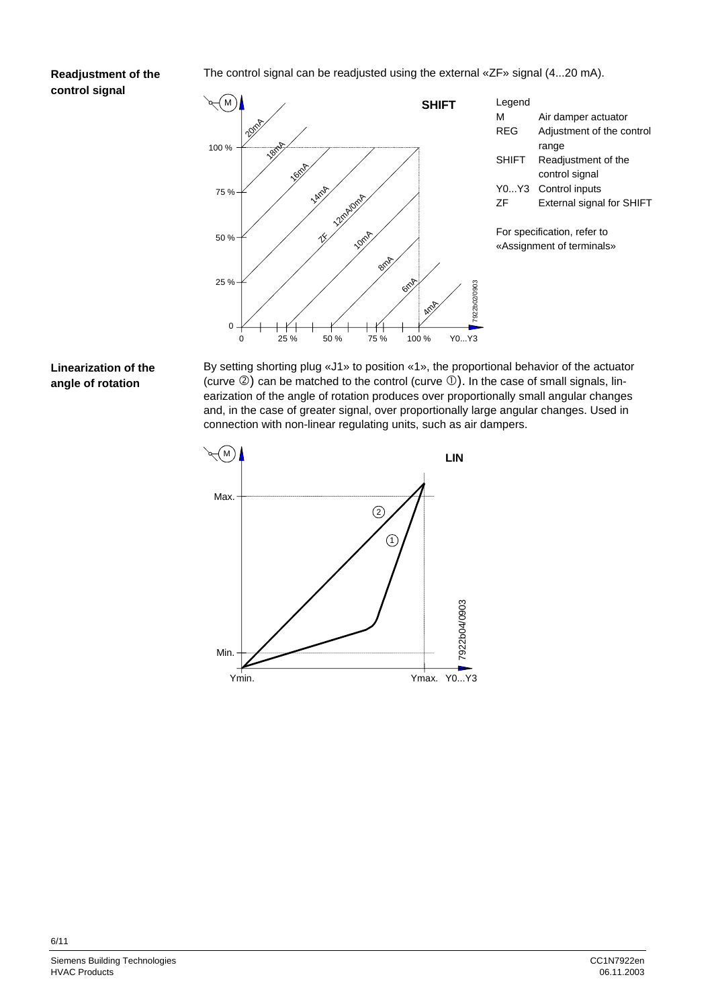# **Readjustment of the control signal**

The control signal can be readjusted using the external «ZF» signal (4...20 mA).



## **Linearization of the angle of rotation**

By setting shorting plug «J1» to position «1», the proportional behavior of the actuator (curve  $\circled{2}$ ) can be matched to the control (curve  $\circled{1}$ ). In the case of small signals, linearization of the angle of rotation produces over proportionally small angular changes and, in the case of greater signal, over proportionally large angular changes. Used in connection with non-linear regulating units, such as air dampers.

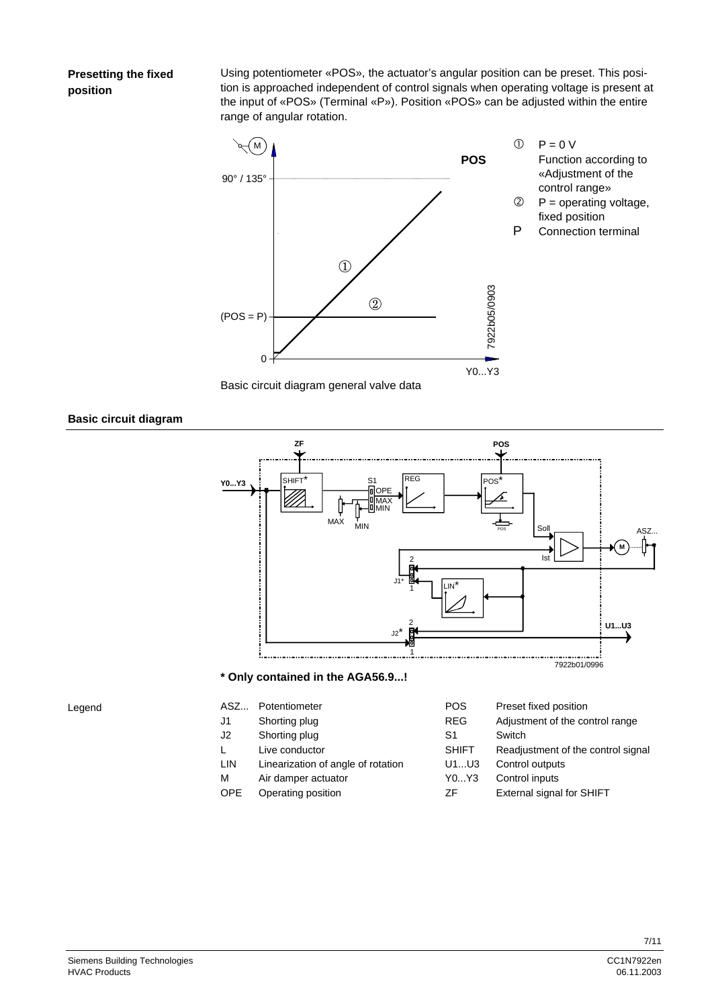## **Presetting the fixed position**

Using potentiometer «POS», the actuator's angular position can be preset. This position is approached independent of control signals when operating voltage is present at the input of «POS» (Terminal «P»). Position «POS» can be adjusted within the entire range of angular rotation.





**Basic circuit diagram** 



- 
- OPE Operating position ZF External signal for SHIFT
- 

Siemens Building Technologies and the control of the control of the control of the control of the control of the control of the control of the control of the control of the control of the control of the control of the cont HVAC Products 06.11.2003

Legend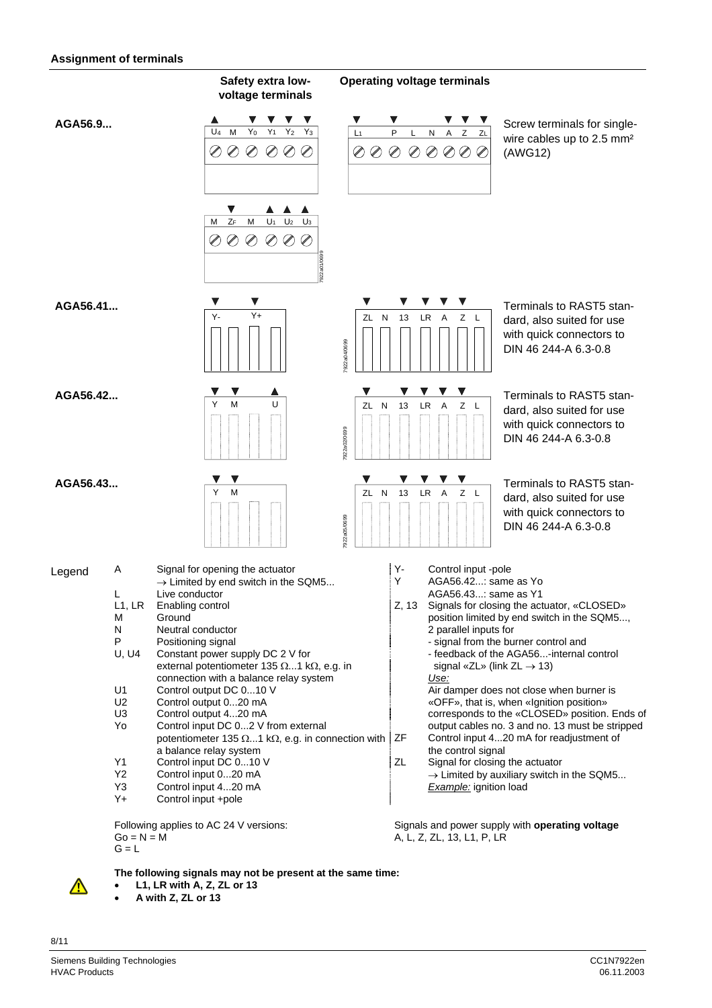#### **Assignment of terminals**



**The following signals may not be present at the same time:** 

- **L1, LR with A, Z, ZL or 13**
- **A with Z, ZL or 13**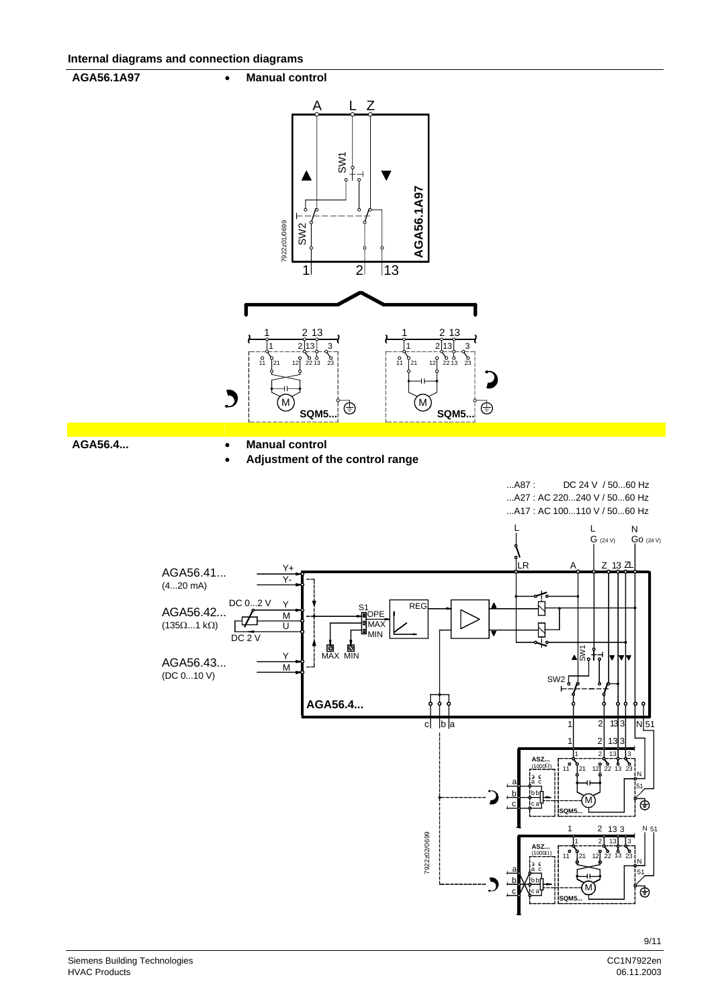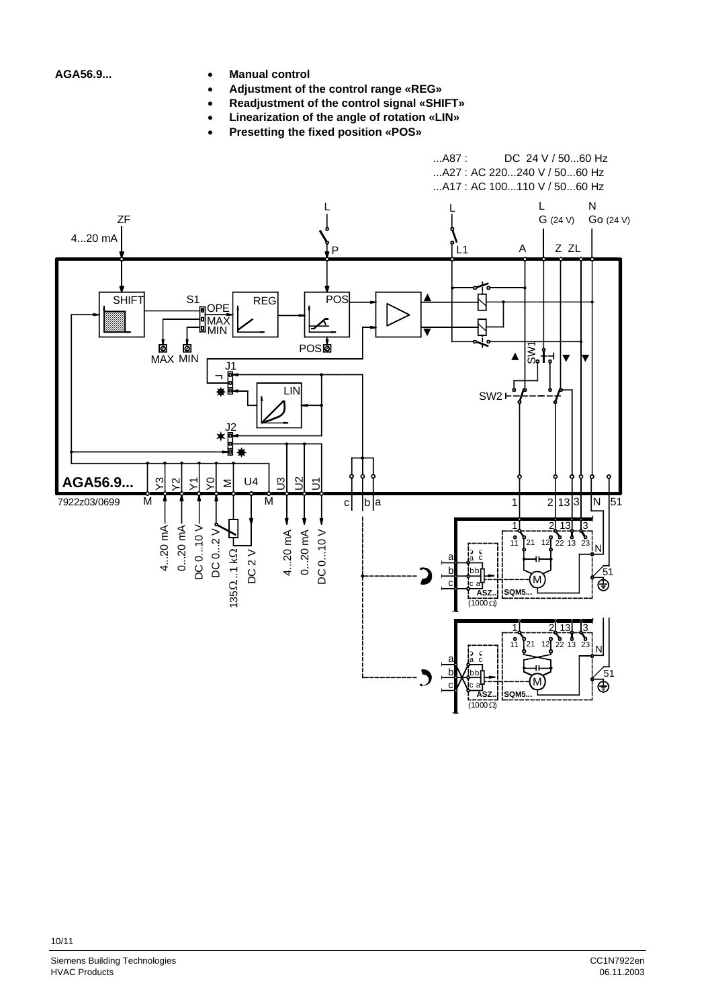- **AGA56.9... Manual control** 
	- **Adjustment of the control range «REG»**
	- **Readjustment of the control signal «SHIFT»**
	- **Linearization of the angle of rotation «LIN»**
	- **Presetting the fixed position «POS»**